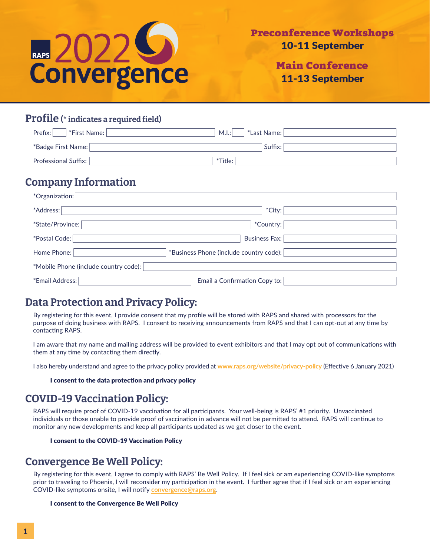

Main Conference 11-13 September

### Profile (\* indicates a required field)

| Prefix:<br>*First Name:     | M.I.:<br>*Last Name: |
|-----------------------------|----------------------|
| *Badge First Name:          | Suffix:              |
|                             |                      |
| <b>Professional Suffix:</b> | *Title:              |

## Company Information

| *Organization:                        |                                         |
|---------------------------------------|-----------------------------------------|
| *Address:                             | *City:                                  |
| *State/Province:                      | *Country:                               |
| *Postal Code:                         | <b>Business Fax:</b>                    |
| Home Phone:                           | *Business Phone (include country code): |
| *Mobile Phone (include country code): |                                         |
| *Email Address:                       | Email a Confirmation Copy to:           |

## Data Protection and Privacy Policy:

By registering for this event, I provide consent that my profile will be stored with RAPS and shared with processors for the purpose of doing business with RAPS. I consent to receiving announcements from RAPS and that I can opt-out at any time by contacting RAPS.

I am aware that my name and mailing address will be provided to event exhibitors and that I may opt out of communications with them at any time by contacting them directly.

I also hereby understand and agree to the privacy policy provided at **[www.raps.org/website/privacy-policy](http://www.raps.org/website/privacy-policy)** (Effective 6 January 2021)

I consent to the data protection and privacy policy

## COVID-19 Vaccination Policy:

RAPS will require proof of COVID-19 vaccination for all participants. Your well-being is RAPS' #1 priority. Unvaccinated individuals or those unable to provide proof of vaccination in advance will not be permitted to attend. RAPS will continue to monitor any new developments and keep all participants updated as we get closer to the event.

#### I consent to the COVID-19 Vaccination Policy

# Convergence Be Well Policy:

By registering for this event, I agree to comply with RAPS' Be Well Policy. If I feel sick or am experiencing COVID-like symptoms prior to traveling to Phoenix, I will reconsider my participation in the event. I further agree that if I feel sick or am experiencing COVID-like symptoms onsite, I will notify **[convergence@raps.org](mailto:convergence%40raps.org?subject=)**.

#### I consent to the Convergence Be Well Policy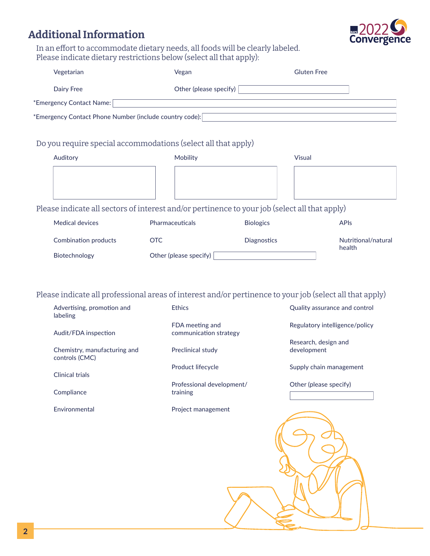# Additional Information



In an effort to accommodate dietary needs, all foods will be clearly labeled. Please indicate dietary restrictions below (select all that apply):

| Vegetarian                                                                                    | Vegan                                 |                  | <b>Gluten Free</b>                                                                                                                                                          |
|-----------------------------------------------------------------------------------------------|---------------------------------------|------------------|-----------------------------------------------------------------------------------------------------------------------------------------------------------------------------|
| <b>Dairy Free</b>                                                                             | Other (please specify)                |                  |                                                                                                                                                                             |
| *Emergency Contact Name:                                                                      |                                       |                  |                                                                                                                                                                             |
| *Emergency Contact Phone Number (include country code):                                       |                                       |                  |                                                                                                                                                                             |
|                                                                                               |                                       |                  |                                                                                                                                                                             |
| Do you require special accommodations (select all that apply)                                 |                                       |                  |                                                                                                                                                                             |
| Auditory                                                                                      | Mobility                              |                  | <b>Visual</b>                                                                                                                                                               |
|                                                                                               |                                       |                  |                                                                                                                                                                             |
| Please indicate all sectors of interest and/or pertinence to your job (select all that apply) |                                       |                  |                                                                                                                                                                             |
| <b>Medical devices</b>                                                                        | Pharmaceuticals                       | <b>Biologics</b> | <b>APIs</b>                                                                                                                                                                 |
| Combination products                                                                          | <b>OTC</b>                            | Diagnostics      | Nutritional/natural                                                                                                                                                         |
| Biotechnology                                                                                 | Other (please specify)                |                  | health                                                                                                                                                                      |
| Advertising, promotion and<br>labeling                                                        | <b>Ethics</b><br>FDA meeting and      |                  | Please indicate all professional areas of interest and/or pertinence to your job (select all that apply)<br>Quality assurance and control<br>Regulatory intelligence/policy |
| Audit/FDA inspection                                                                          | communication strategy                |                  |                                                                                                                                                                             |
| Chemistry, manufacturing and<br>controls (CMC)                                                | Preclinical study                     |                  | Research, design and<br>development                                                                                                                                         |
| <b>Clinical trials</b>                                                                        | Product lifecycle                     |                  | Supply chain management                                                                                                                                                     |
| Compliance                                                                                    | Professional development/<br>training |                  | Other (please specify)                                                                                                                                                      |
| Environmental                                                                                 | Project management                    |                  |                                                                                                                                                                             |
|                                                                                               |                                       |                  |                                                                                                                                                                             |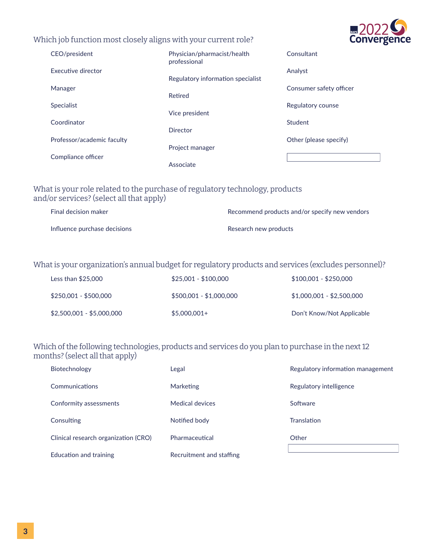#### Which job function most closely aligns with your current role?



| CEO/president              | Physician/pharmacist/health<br>professional | Consultant              |
|----------------------------|---------------------------------------------|-------------------------|
| Executive director         | Regulatory information specialist           | Analyst                 |
| Manager                    | Retired                                     | Consumer safety officer |
| <b>Specialist</b>          | Vice president                              | Regulatory counse       |
| Coordinator                | Director                                    | Student                 |
| Professor/academic faculty | Project manager                             | Other (please specify)  |
| Compliance officer         | Associate                                   |                         |

### What is your role related to the purchase of regulatory technology, products and/or services? (select all that apply)

| Final decision maker         | Recommend products and/or specify new vendors |
|------------------------------|-----------------------------------------------|
| Influence purchase decisions | Research new products                         |

### What is your organization's annual budget for regulatory products and services (excludes personnel)?

| Less than $$25,000$       | $$25.001 - $100.000$    | $$100,001 - $250,000$     |
|---------------------------|-------------------------|---------------------------|
| \$250,001 - \$500,000     | $$500,001 - $1,000,000$ | $$1,000,001 - $2,500,000$ |
| \$2,500,001 - \$5,000,000 | $$5,000,001+$           | Don't Know/Not Applicable |

### Which of the following technologies, products and services do you plan to purchase in the next 12 months? (select all that apply)

| Biotechnology                        | Legal                    | Regulatory information management |
|--------------------------------------|--------------------------|-----------------------------------|
| Communications                       | <b>Marketing</b>         | Regulatory intelligence           |
| Conformity assessments               | Medical devices          | Software                          |
| Consulting                           | Notified body            | <b>Translation</b>                |
| Clinical research organization (CRO) | Pharmaceutical           | Other                             |
| Education and training               | Recruitment and staffing |                                   |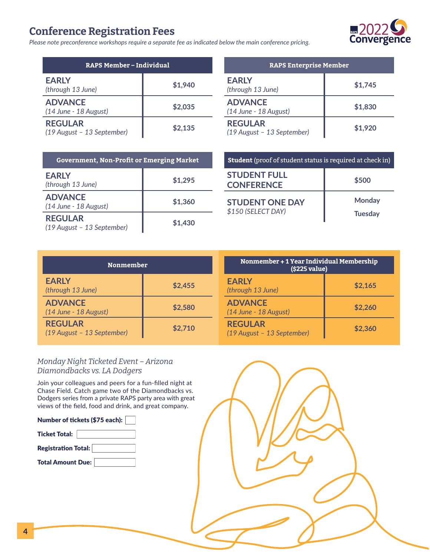# Conference Registration Fees

*Please note preconference workshops require a separate fee as indicated below the main conference pricing.*

| <b>RAPS Member-Individual</b>                |         |  |
|----------------------------------------------|---------|--|
| <b>EARLY</b><br>(through 13 June)            | \$1,940 |  |
| <b>ADVANCE</b><br>(14 June - 18 August)      | \$2,035 |  |
| <b>REGULAR</b><br>(19 August - 13 September) | \$2,135 |  |

| <b>RAPS Enterprise Member</b>                |         |  |  |
|----------------------------------------------|---------|--|--|
| <b>EARLY</b><br>(through 13 June)            | \$1,745 |  |  |
| <b>ADVANCE</b><br>(14 June - 18 August)      | \$1,830 |  |  |
| <b>REGULAR</b><br>(19 August - 13 September) | \$1,920 |  |  |

| <b>Government, Non-Profit or Emerging Market</b> |         |  |
|--------------------------------------------------|---------|--|
| <b>EARLY</b><br>(through 13 June)                | \$1,295 |  |
| <b>ADVANCE</b><br>(14 June - 18 August)          | \$1,360 |  |
| <b>REGULAR</b><br>(19 August - 13 September)     | \$1,430 |  |

| <b>Student</b> (proof of student status is required at check in) |                                 |  |
|------------------------------------------------------------------|---------------------------------|--|
| <b>STUDENT FULL</b><br>\$500<br><b>CONFERENCE</b>                |                                 |  |
| <b>STUDENT ONE DAY</b><br>\$150 (SELECT DAY)                     | <b>Monday</b><br><b>Tuesday</b> |  |

| <b>Nonmember</b>                             |         | Nonmember + 1 Year Individual Membership<br>(\$225 value) |         |
|----------------------------------------------|---------|-----------------------------------------------------------|---------|
| <b>EARLY</b><br>(through 13 June)            | \$2,455 | <b>EARLY</b><br>(through 13 June)                         | \$2,165 |
| <b>ADVANCE</b><br>$(14$ June - 18 August)    | \$2,580 | <b>ADVANCE</b><br>$(14$ June - 18 August)                 | \$2,260 |
| <b>REGULAR</b><br>(19 August - 13 September) | \$2,710 | <b>REGULAR</b><br>(19 August - 13 September)              | \$2,360 |

#### *Monday Night Ticketed Event – Arizona Diamondbacks vs. LA Dodgers*

Join your colleagues and peers for a fun-filled night at Chase Field. Catch game two of the Diamondbacks vs. Dodgers series from a private RAPS party area with great views of the field, food and drink, and great company.

| Number of tickets (\$75 each): |  |  |  |  |
|--------------------------------|--|--|--|--|
| <b>Ticket Total:</b>           |  |  |  |  |
| <b>Registration Total:</b>     |  |  |  |  |
| <b>Total Amount Due:</b>       |  |  |  |  |